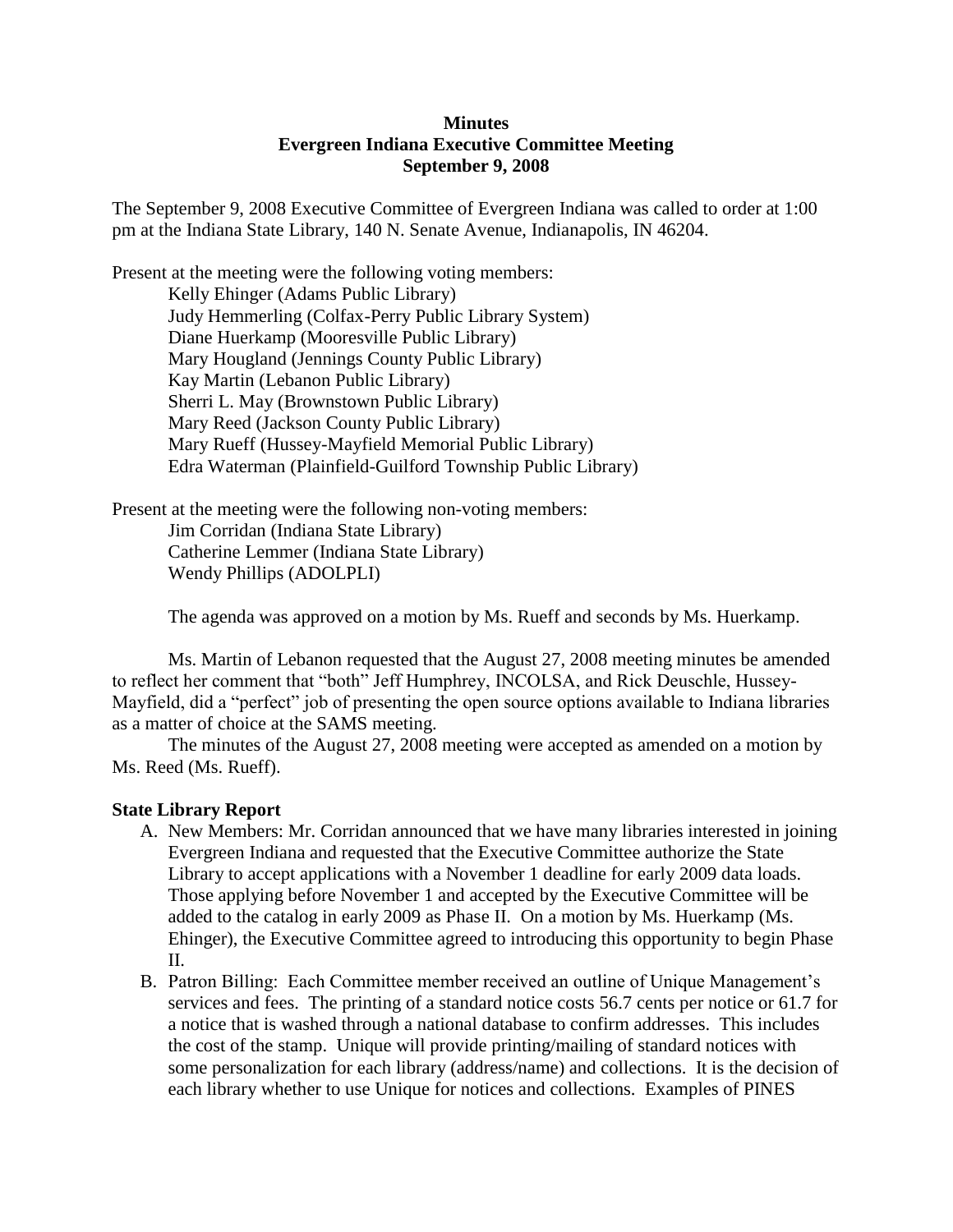#### **Minutes Evergreen Indiana Executive Committee Meeting September 9, 2008**

The September 9, 2008 Executive Committee of Evergreen Indiana was called to order at 1:00 pm at the Indiana State Library, 140 N. Senate Avenue, Indianapolis, IN 46204.

Present at the meeting were the following voting members: Kelly Ehinger (Adams Public Library) Judy Hemmerling (Colfax-Perry Public Library System) Diane Huerkamp (Mooresville Public Library) Mary Hougland (Jennings County Public Library) Kay Martin (Lebanon Public Library) Sherri L. May (Brownstown Public Library) Mary Reed (Jackson County Public Library) Mary Rueff (Hussey-Mayfield Memorial Public Library) Edra Waterman (Plainfield-Guilford Township Public Library)

Present at the meeting were the following non-voting members:

Jim Corridan (Indiana State Library) Catherine Lemmer (Indiana State Library) Wendy Phillips (ADOLPLI)

The agenda was approved on a motion by Ms. Rueff and seconds by Ms. Huerkamp.

Ms. Martin of Lebanon requested that the August 27, 2008 meeting minutes be amended to reflect her comment that "both" Jeff Humphrey, INCOLSA, and Rick Deuschle, Hussey-Mayfield, did a "perfect" job of presenting the open source options available to Indiana libraries as a matter of choice at the SAMS meeting.

The minutes of the August 27, 2008 meeting were accepted as amended on a motion by Ms. Reed (Ms. Rueff).

### **State Library Report**

- A. New Members: Mr. Corridan announced that we have many libraries interested in joining Evergreen Indiana and requested that the Executive Committee authorize the State Library to accept applications with a November 1 deadline for early 2009 data loads. Those applying before November 1 and accepted by the Executive Committee will be added to the catalog in early 2009 as Phase II. On a motion by Ms. Huerkamp (Ms. Ehinger), the Executive Committee agreed to introducing this opportunity to begin Phase II.
- B. Patron Billing: Each Committee member received an outline of Unique Management's services and fees. The printing of a standard notice costs 56.7 cents per notice or 61.7 for a notice that is washed through a national database to confirm addresses. This includes the cost of the stamp. Unique will provide printing/mailing of standard notices with some personalization for each library (address/name) and collections. It is the decision of each library whether to use Unique for notices and collections. Examples of PINES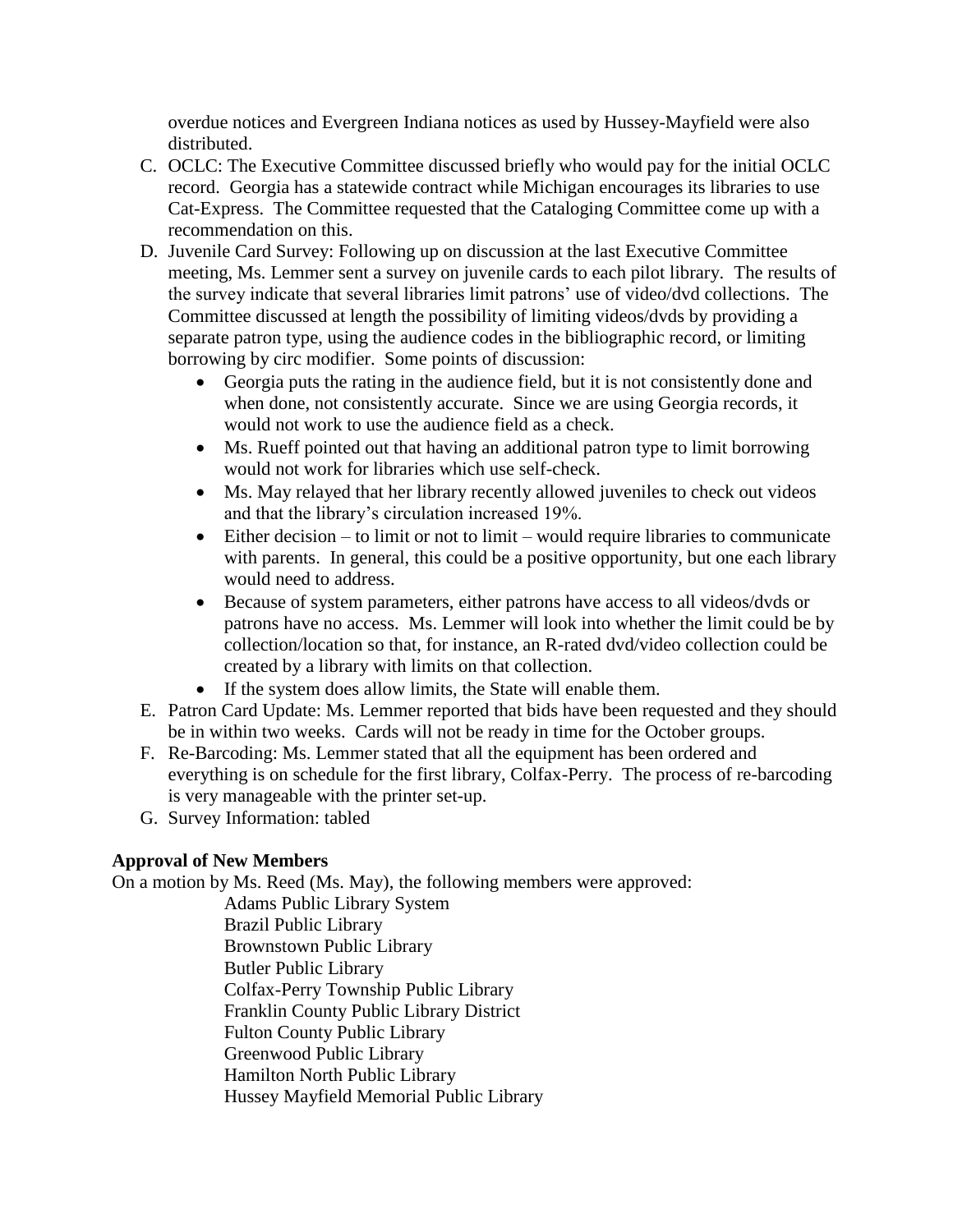overdue notices and Evergreen Indiana notices as used by Hussey-Mayfield were also distributed.

- C. OCLC: The Executive Committee discussed briefly who would pay for the initial OCLC record. Georgia has a statewide contract while Michigan encourages its libraries to use Cat-Express. The Committee requested that the Cataloging Committee come up with a recommendation on this.
- D. Juvenile Card Survey: Following up on discussion at the last Executive Committee meeting, Ms. Lemmer sent a survey on juvenile cards to each pilot library. The results of the survey indicate that several libraries limit patrons' use of video/dvd collections. The Committee discussed at length the possibility of limiting videos/dvds by providing a separate patron type, using the audience codes in the bibliographic record, or limiting borrowing by circ modifier. Some points of discussion:
	- Georgia puts the rating in the audience field, but it is not consistently done and when done, not consistently accurate. Since we are using Georgia records, it would not work to use the audience field as a check.
	- Ms. Rueff pointed out that having an additional patron type to limit borrowing would not work for libraries which use self-check.
	- Ms. May relayed that her library recently allowed juveniles to check out videos and that the library's circulation increased 19%.
	- $\bullet$  Either decision to limit or not to limit would require libraries to communicate with parents. In general, this could be a positive opportunity, but one each library would need to address.
	- Because of system parameters, either patrons have access to all videos/dvds or patrons have no access. Ms. Lemmer will look into whether the limit could be by collection/location so that, for instance, an R-rated dvd/video collection could be created by a library with limits on that collection.
	- If the system does allow limits, the State will enable them.
- E. Patron Card Update: Ms. Lemmer reported that bids have been requested and they should be in within two weeks. Cards will not be ready in time for the October groups.
- F. Re-Barcoding: Ms. Lemmer stated that all the equipment has been ordered and everything is on schedule for the first library, Colfax-Perry. The process of re-barcoding is very manageable with the printer set-up.
- G. Survey Information: tabled

# **Approval of New Members**

On a motion by Ms. Reed (Ms. May), the following members were approved:

Adams Public Library System Brazil Public Library Brownstown Public Library Butler Public Library Colfax-Perry Township Public Library Franklin County Public Library District Fulton County Public Library Greenwood Public Library Hamilton North Public Library Hussey Mayfield Memorial Public Library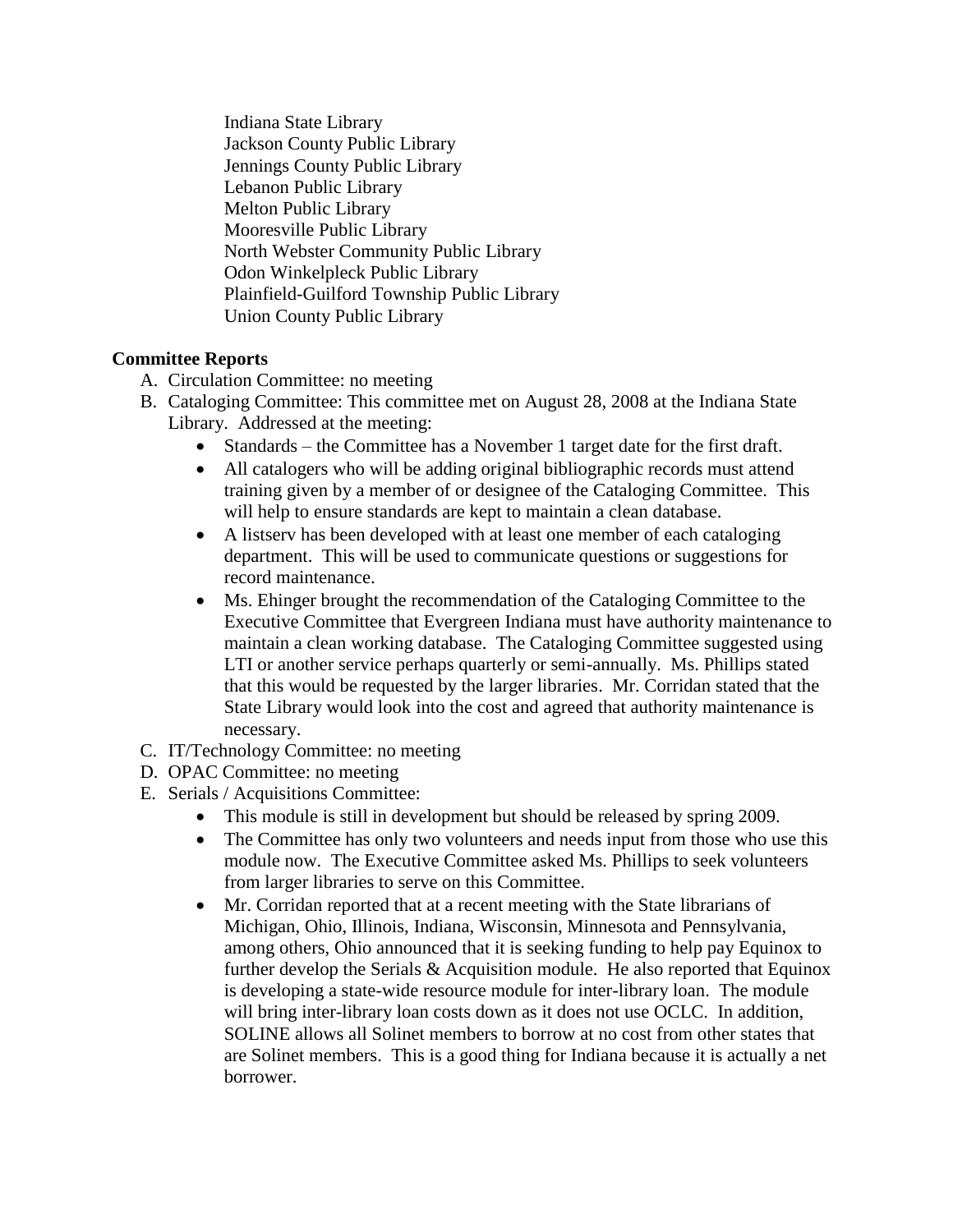Indiana State Library Jackson County Public Library Jennings County Public Library Lebanon Public Library Melton Public Library Mooresville Public Library North Webster Community Public Library Odon Winkelpleck Public Library Plainfield-Guilford Township Public Library Union County Public Library

### **Committee Reports**

- A. Circulation Committee: no meeting
- B. Cataloging Committee: This committee met on August 28, 2008 at the Indiana State Library. Addressed at the meeting:
	- Standards the Committee has a November 1 target date for the first draft.
	- All catalogers who will be adding original bibliographic records must attend training given by a member of or designee of the Cataloging Committee. This will help to ensure standards are kept to maintain a clean database.
	- A listserv has been developed with at least one member of each cataloging department. This will be used to communicate questions or suggestions for record maintenance.
	- Ms. Ehinger brought the recommendation of the Cataloging Committee to the Executive Committee that Evergreen Indiana must have authority maintenance to maintain a clean working database. The Cataloging Committee suggested using LTI or another service perhaps quarterly or semi-annually. Ms. Phillips stated that this would be requested by the larger libraries. Mr. Corridan stated that the State Library would look into the cost and agreed that authority maintenance is necessary.
- C. IT/Technology Committee: no meeting
- D. OPAC Committee: no meeting
- E. Serials / Acquisitions Committee:
	- This module is still in development but should be released by spring 2009.
	- The Committee has only two volunteers and needs input from those who use this module now. The Executive Committee asked Ms. Phillips to seek volunteers from larger libraries to serve on this Committee.
	- Mr. Corridan reported that at a recent meeting with the State librarians of Michigan, Ohio, Illinois, Indiana, Wisconsin, Minnesota and Pennsylvania, among others, Ohio announced that it is seeking funding to help pay Equinox to further develop the Serials & Acquisition module. He also reported that Equinox is developing a state-wide resource module for inter-library loan. The module will bring inter-library loan costs down as it does not use OCLC. In addition, SOLINE allows all Solinet members to borrow at no cost from other states that are Solinet members. This is a good thing for Indiana because it is actually a net borrower.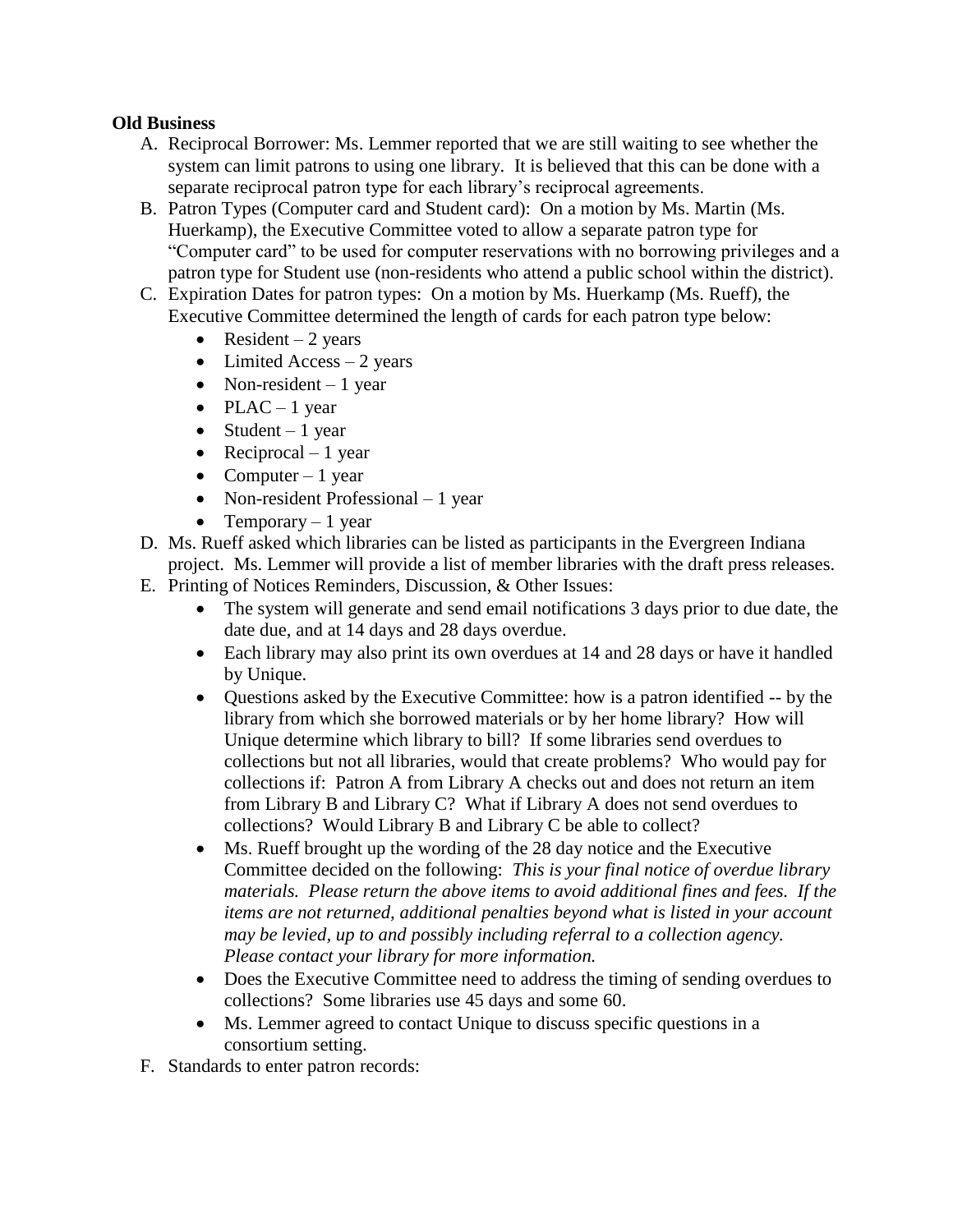#### **Old Business**

- A. Reciprocal Borrower: Ms. Lemmer reported that we are still waiting to see whether the system can limit patrons to using one library. It is believed that this can be done with a separate reciprocal patron type for each library's reciprocal agreements.
- B. Patron Types (Computer card and Student card): On a motion by Ms. Martin (Ms. Huerkamp), the Executive Committee voted to allow a separate patron type for "Computer card" to be used for computer reservations with no borrowing privileges and a patron type for Student use (non-residents who attend a public school within the district).
- C. Expiration Dates for patron types: On a motion by Ms. Huerkamp (Ms. Rueff), the Executive Committee determined the length of cards for each patron type below:
	- Resident 2 years
	- $\bullet$  Limited Access 2 years
	- Non-resident  $-1$  year
	- $\n•$  PLAC 1 year
	- $\bullet$  Student 1 year
	- Reciprocal 1 year
	- Computer 1 year
	- Non-resident Professional 1 year
	- Temporary  $-1$  year
- D. Ms. Rueff asked which libraries can be listed as participants in the Evergreen Indiana
- project. Ms. Lemmer will provide a list of member libraries with the draft press releases.
- E. Printing of Notices Reminders, Discussion, & Other Issues:
	- The system will generate and send email notifications 3 days prior to due date, the date due, and at 14 days and 28 days overdue.
	- Each library may also print its own overdues at 14 and 28 days or have it handled by Unique.
	- Questions asked by the Executive Committee: how is a patron identified -- by the library from which she borrowed materials or by her home library? How will Unique determine which library to bill? If some libraries send overdues to collections but not all libraries, would that create problems? Who would pay for collections if: Patron A from Library A checks out and does not return an item from Library B and Library C? What if Library A does not send overdues to collections? Would Library B and Library C be able to collect?
	- Ms. Rueff brought up the wording of the 28 day notice and the Executive Committee decided on the following: *This is your final notice of overdue library materials. Please return the above items to avoid additional fines and fees. If the items are not returned, additional penalties beyond what is listed in your account may be levied, up to and possibly including referral to a collection agency. Please contact your library for more information.*
	- Does the Executive Committee need to address the timing of sending overdues to collections? Some libraries use 45 days and some 60.
	- Ms. Lemmer agreed to contact Unique to discuss specific questions in a consortium setting.
- F. Standards to enter patron records: